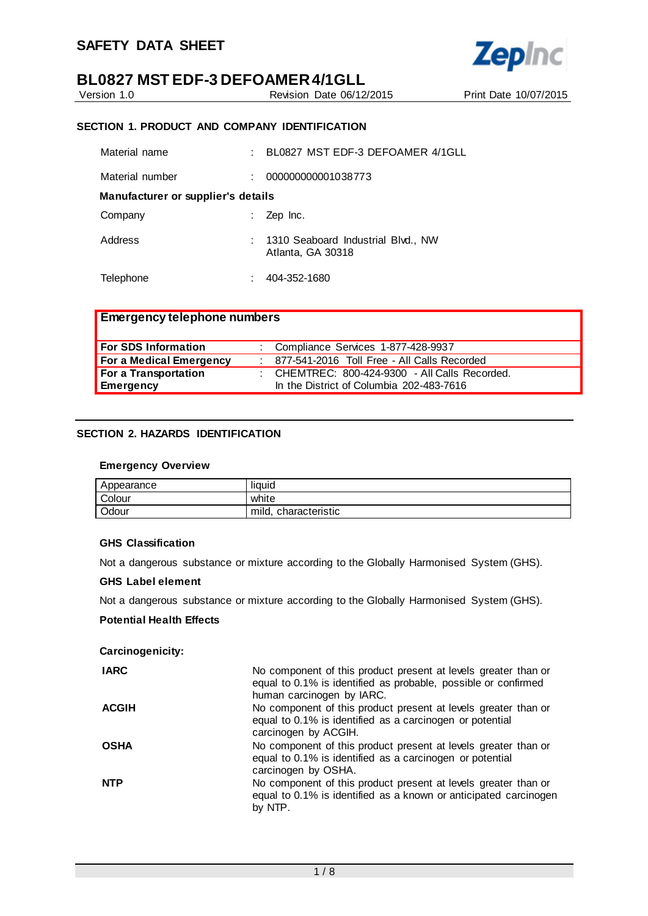

**Zepinc** 

Version 1.0 Revision Date 06/12/2015 Print Date 10/07/2015

# **SECTION 1. PRODUCT AND COMPANY IDENTIFICATION**

| Material name                      | BL0827 MST EDF-3 DEFOAMER 4/1GLL                          |
|------------------------------------|-----------------------------------------------------------|
| Material number                    | 000000000001038773                                        |
| Manufacturer or supplier's details |                                                           |
| Company                            | Zep Inc.                                                  |
| Address                            | : 1310 Seaboard Industrial Blvd., NW<br>Atlanta, GA 30318 |
| Telephone                          | 404-352-1680                                              |

| <b>Emergency telephone numbers</b> |                                                |
|------------------------------------|------------------------------------------------|
| For SDS Information                | : Compliance Services 1-877-428-9937           |
| For a Medical Emergency            | : 877-541-2016 Toll Free - All Calls Recorded  |
| For a Transportation               | : CHEMTREC: 800-424-9300 - All Calls Recorded. |
| <b>Emergency</b>                   | In the District of Columbia 202-483-7616       |

# **SECTION 2. HAZARDS IDENTIFICATION**

## **Emergency Overview**

| Appearance | <br>liquid              |
|------------|-------------------------|
| Colour     | white                   |
| Odour      | mild.<br>characteristic |

# **GHS Classification**

Not a dangerous substance or mixture according to the Globally Harmonised System (GHS).

#### **GHS Label element**

Not a dangerous substance or mixture according to the Globally Harmonised System (GHS).

#### **Potential Health Effects**

**Carcinogenicity:**

| <b>IARC</b>  | No component of this product present at levels greater than or<br>equal to 0.1% is identified as probable, possible or confirmed<br>human carcinogen by IARC. |
|--------------|---------------------------------------------------------------------------------------------------------------------------------------------------------------|
| <b>ACGIH</b> | No component of this product present at levels greater than or<br>equal to 0.1% is identified as a carcinogen or potential<br>carcinogen by ACGIH.            |
| <b>OSHA</b>  | No component of this product present at levels greater than or<br>equal to 0.1% is identified as a carcinogen or potential<br>carcinogen by OSHA.             |
| <b>NTP</b>   | No component of this product present at levels greater than or<br>equal to 0.1% is identified as a known or anticipated carcinogen<br>by NTP.                 |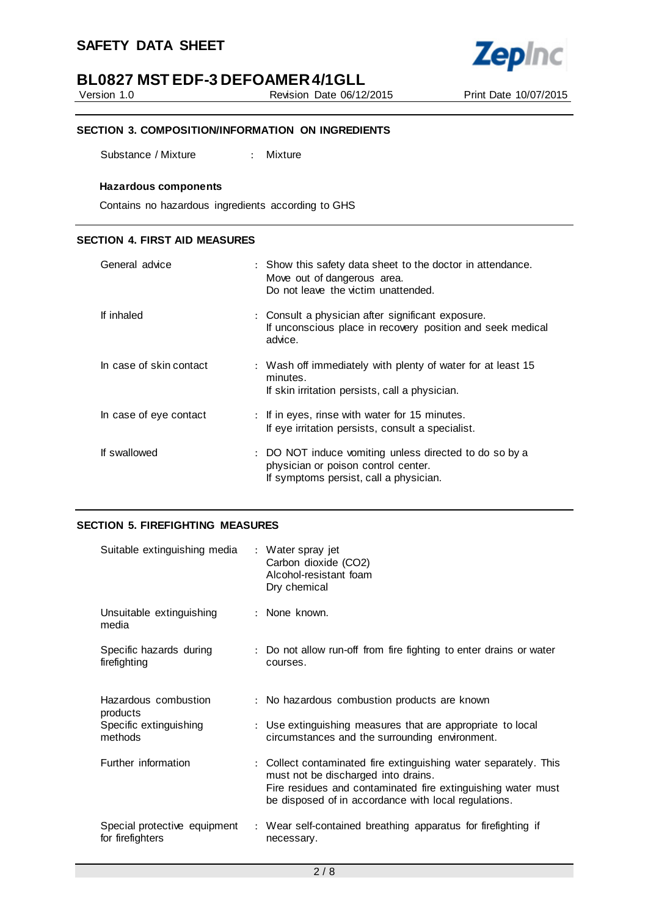Version 1.0 Revision Date 06/12/2015 Print Date 10/07/2015

**Zepinc** 

# **SECTION 3. COMPOSITION/INFORMATION ON INGREDIENTS**

Substance / Mixture : Mixture

#### **Hazardous components**

Contains no hazardous ingredients according to GHS

### **SECTION 4. FIRST AID MEASURES**

| General advice          | : Show this safety data sheet to the doctor in attendance.<br>Move out of dangerous area.<br>Do not leave the victim unattended.        |
|-------------------------|-----------------------------------------------------------------------------------------------------------------------------------------|
| If inhaled              | : Consult a physician after significant exposure.<br>If unconscious place in recovery position and seek medical<br>advice.              |
| In case of skin contact | : Wash off immediately with plenty of water for at least 15<br>minutes.<br>If skin irritation persists, call a physician.               |
| In case of eye contact  | : If in eyes, rinse with water for 15 minutes.<br>If eye irritation persists, consult a specialist.                                     |
| If swallowed            | : DO NOT induce vomiting unless directed to do so by a<br>physician or poison control center.<br>If symptoms persist, call a physician. |

# **SECTION 5. FIREFIGHTING MEASURES**

| Suitable extinguishing media                     | : Water spray jet<br>Carbon dioxide (CO2)<br>Alcohol-resistant foam<br>Dry chemical                                                                                                                                             |
|--------------------------------------------------|---------------------------------------------------------------------------------------------------------------------------------------------------------------------------------------------------------------------------------|
| Unsuitable extinguishing<br>media                | : None known.                                                                                                                                                                                                                   |
| Specific hazards during<br>firefighting          | : Do not allow run-off from fire fighting to enter drains or water<br>courses.                                                                                                                                                  |
| Hazardous combustion<br>products                 | : No hazardous combustion products are known                                                                                                                                                                                    |
| Specific extinguishing<br>methods                | : Use extinguishing measures that are appropriate to local<br>circumstances and the surrounding environment.                                                                                                                    |
| Further information                              | : Collect contaminated fire extinguishing water separately. This<br>must not be discharged into drains.<br>Fire residues and contaminated fire extinguishing water must<br>be disposed of in accordance with local regulations. |
| Special protective equipment<br>for firefighters | : Wear self-contained breathing apparatus for firefighting if<br>necessary.                                                                                                                                                     |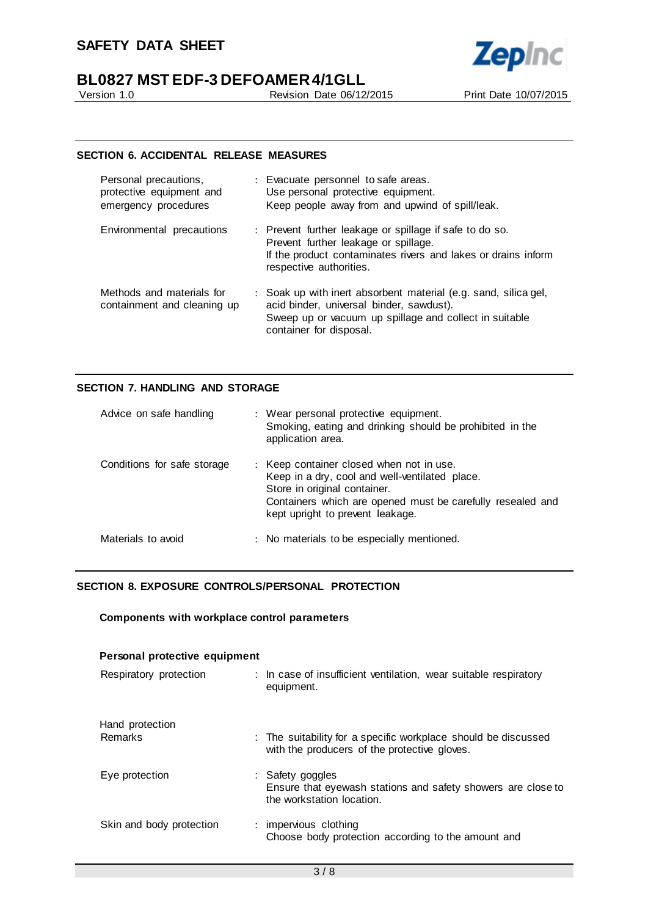

Version 1.0 Revision Date 06/12/2015 Print Date 10/07/2015

# **SECTION 6. ACCIDENTAL RELEASE MEASURES**

| Personal precautions,<br>protective equipment and<br>emergency procedures | : Evacuate personnel to safe areas.<br>Use personal protective equipment.<br>Keep people away from and upwind of spill/leak.                                                                     |
|---------------------------------------------------------------------------|--------------------------------------------------------------------------------------------------------------------------------------------------------------------------------------------------|
| Environmental precautions                                                 | : Prevent further leakage or spillage if safe to do so.<br>Prevent further leakage or spillage.<br>If the product contaminates rivers and lakes or drains inform<br>respective authorities.      |
| Methods and materials for<br>containment and cleaning up                  | : Soak up with inert absorbent material (e.g. sand, silica gel,<br>acid binder, universal binder, sawdust).<br>Sweep up or vacuum up spillage and collect in suitable<br>container for disposal. |

## **SECTION 7. HANDLING AND STORAGE**

| Advice on safe handling     | : Wear personal protective equipment.<br>Smoking, eating and drinking should be prohibited in the<br>application area.                                                                                                       |
|-----------------------------|------------------------------------------------------------------------------------------------------------------------------------------------------------------------------------------------------------------------------|
| Conditions for safe storage | : Keep container closed when not in use.<br>Keep in a dry, cool and well-ventilated place.<br>Store in original container.<br>Containers which are opened must be carefully resealed and<br>kept upright to prevent leakage. |
| Materials to avoid          | : No materials to be especially mentioned.                                                                                                                                                                                   |

# **SECTION 8. EXPOSURE CONTROLS/PERSONAL PROTECTION**

# **Components with workplace control parameters**

| Personal protective equipment |                                                                                                                |
|-------------------------------|----------------------------------------------------------------------------------------------------------------|
| Respiratory protection        | : In case of insufficient ventilation, wear suitable respiratory<br>equipment.                                 |
| Hand protection<br>Remarks    | : The suitability for a specific workplace should be discussed<br>with the producers of the protective gloves. |
| Eye protection                | : Safety goggles<br>Ensure that eyewash stations and safety showers are close to<br>the workstation location.  |
| Skin and body protection      | : impervious clothing<br>Choose body protection according to the amount and                                    |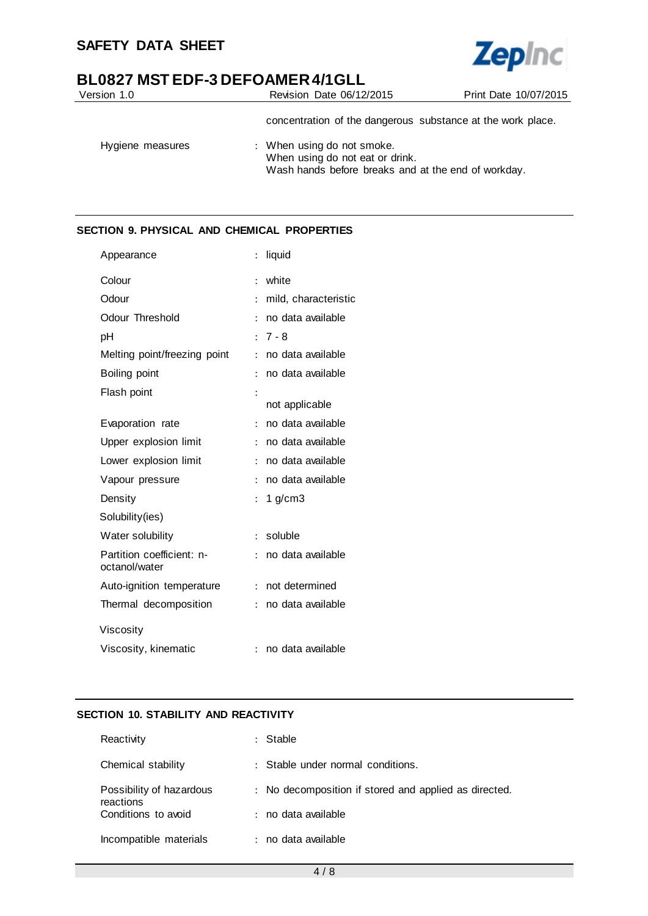

| Version 1.0      | Revision Date 06/12/2015                                                                                             | Print Date 10/07/2015 |
|------------------|----------------------------------------------------------------------------------------------------------------------|-----------------------|
|                  | concentration of the dangerous substance at the work place.                                                          |                       |
| Hygiene measures | : When using do not smoke.<br>When using do not eat or drink.<br>Wash hands before breaks and at the end of workday. |                       |

# **SECTION 9. PHYSICAL AND CHEMICAL PROPERTIES**

| Appearance                                 | $\ddot{\cdot}$ | liquid               |
|--------------------------------------------|----------------|----------------------|
| Colour                                     | $\ddot{\cdot}$ | white                |
| Odour                                      | $\ddot{\cdot}$ | mild, characteristic |
| Odour Threshold                            | $\ddot{\cdot}$ | no data available    |
| pH                                         | $\ddot{\cdot}$ | $7 - 8$              |
| Melting point/freezing point               | $\ddot{\cdot}$ | no data available    |
| Boiling point                              | $\ddot{\cdot}$ | no data available    |
| Flash point                                | $\ddot{\cdot}$ |                      |
|                                            |                | not applicable       |
| Evaporation rate                           | $\ddot{\cdot}$ | no data available    |
| Upper explosion limit                      | $\ddot{\cdot}$ | no data available    |
| Lower explosion limit                      | $\ddot{\cdot}$ | no data available    |
| Vapour pressure                            | $\ddot{\cdot}$ | no data available    |
| Density                                    | $\ddot{\cdot}$ | 1 $g/cm3$            |
| Solubility(ies)                            |                |                      |
| Water solubility                           | $\ddot{\cdot}$ | soluble              |
| Partition coefficient: n-<br>octanol/water | $\ddot{\cdot}$ | no data available    |
| Auto-ignition temperature                  | $\ddot{\cdot}$ | not determined       |
| Thermal decomposition                      | $\ddot{\cdot}$ | no data available    |
| Viscosity                                  |                |                      |
| Viscosity, kinematic                       | $\ddot{\cdot}$ | no data available    |

# **SECTION 10. STABILITY AND REACTIVITY**

| Reactivity                            | : Stable                                              |
|---------------------------------------|-------------------------------------------------------|
| Chemical stability                    | : Stable under normal conditions.                     |
| Possibility of hazardous<br>reactions | : No decomposition if stored and applied as directed. |
| Conditions to avoid                   | : no data available                                   |
| Incompatible materials                | : no data available                                   |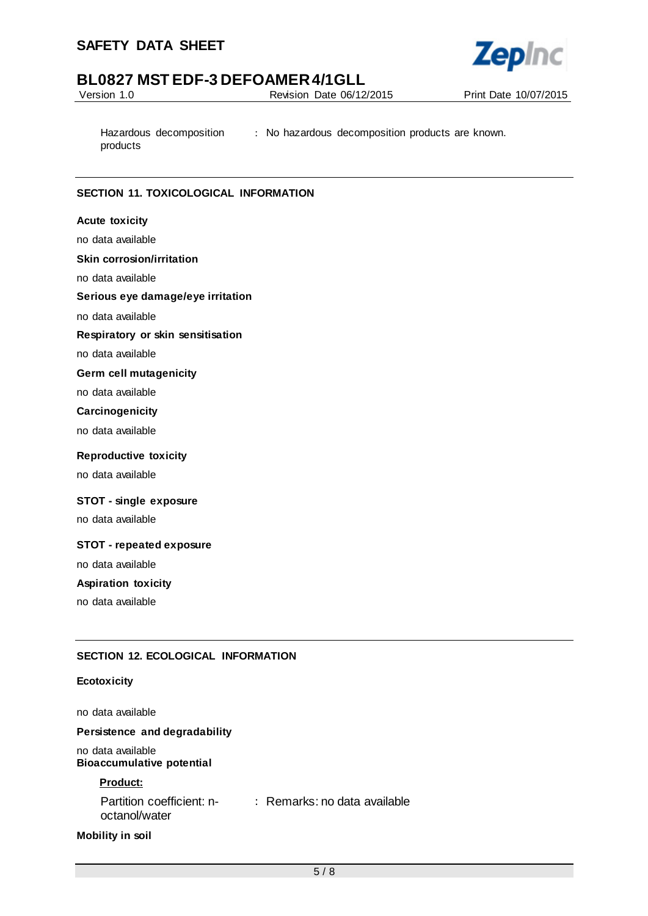

Version 1.0 Revision Date 06/12/2015 Print Date 10/07/2015

Hazardous decomposition products : No hazardous decomposition products are known.

# **SECTION 11. TOXICOLOGICAL INFORMATION**

### **Acute toxicity**

no data available

#### **Skin corrosion/irritation**

no data available

#### **Serious eye damage/eye irritation**

no data available

## **Respiratory or skin sensitisation**

no data available

#### **Germ cell mutagenicity**

no data available

### **Carcinogenicity**

no data available

#### **Reproductive toxicity**

no data available

#### **STOT - single exposure**

no data available

#### **STOT - repeated exposure**

no data available

### **Aspiration toxicity**

no data available

# **SECTION 12. ECOLOGICAL INFORMATION**

#### **Ecotoxicity**

no data available

#### **Persistence and degradability**

no data available **Bioaccumulative potential**

### **Product:**

Partition coefficient: n-: Remarks: no data available octanol/water

#### **Mobility in soil**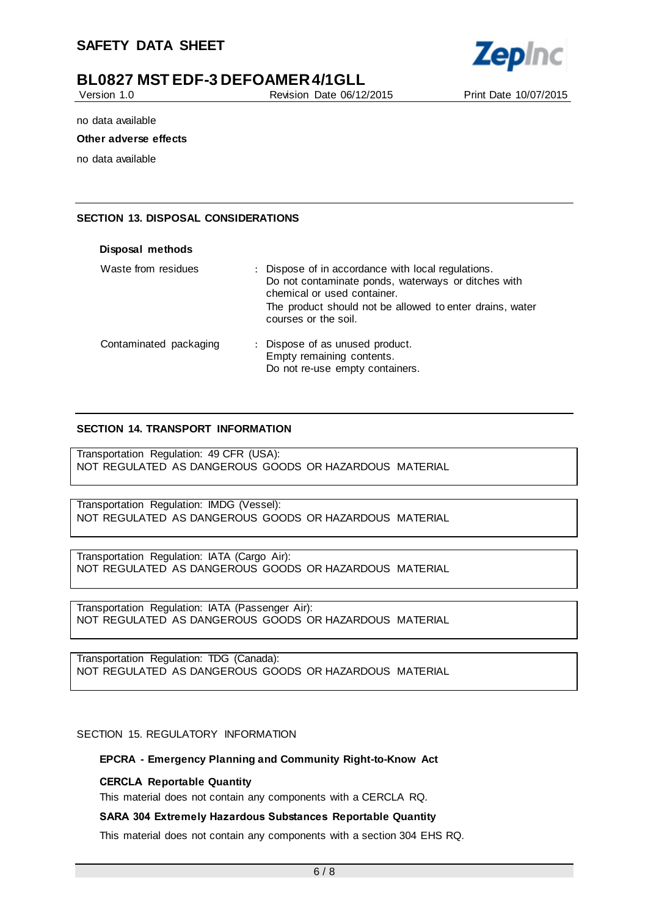

Version 1.0 Revision Date 06/12/2015 Print Date 10/07/2015

no data available

#### **Other adverse effects**

no data available

## **SECTION 13. DISPOSAL CONSIDERATIONS**

| Disposal methods       |                                                                                                                                                                                                                              |
|------------------------|------------------------------------------------------------------------------------------------------------------------------------------------------------------------------------------------------------------------------|
| Waste from residues    | : Dispose of in accordance with local regulations.<br>Do not contaminate ponds, waterways or ditches with<br>chemical or used container.<br>The product should not be allowed to enter drains, water<br>courses or the soil. |
| Contaminated packaging | : Dispose of as unused product.<br>Empty remaining contents.<br>Do not re-use empty containers.                                                                                                                              |

### **SECTION 14. TRANSPORT INFORMATION**

Transportation Regulation: 49 CFR (USA): NOT REGULATED AS DANGEROUS GOODS OR HAZARDOUS MATERIAL

Transportation Regulation: IMDG (Vessel): NOT REGULATED AS DANGEROUS GOODS OR HAZARDOUS MATERIAL

Transportation Regulation: IATA (Cargo Air): NOT REGULATED AS DANGEROUS GOODS OR HAZARDOUS MATERIAL

Transportation Regulation: IATA (Passenger Air): NOT REGULATED AS DANGEROUS GOODS OR HAZARDOUS MATERIAL

Transportation Regulation: TDG (Canada): NOT REGULATED AS DANGEROUS GOODS OR HAZARDOUS MATERIAL

SECTION 15. REGULATORY INFORMATION

#### **EPCRA - Emergency Planning and Community Right-to-Know Act**

#### **CERCLA Reportable Quantity**

This material does not contain any components with a CERCLA RQ.

#### **SARA 304 Extremely Hazardous Substances Reportable Quantity**

This material does not contain any components with a section 304 EHS RQ.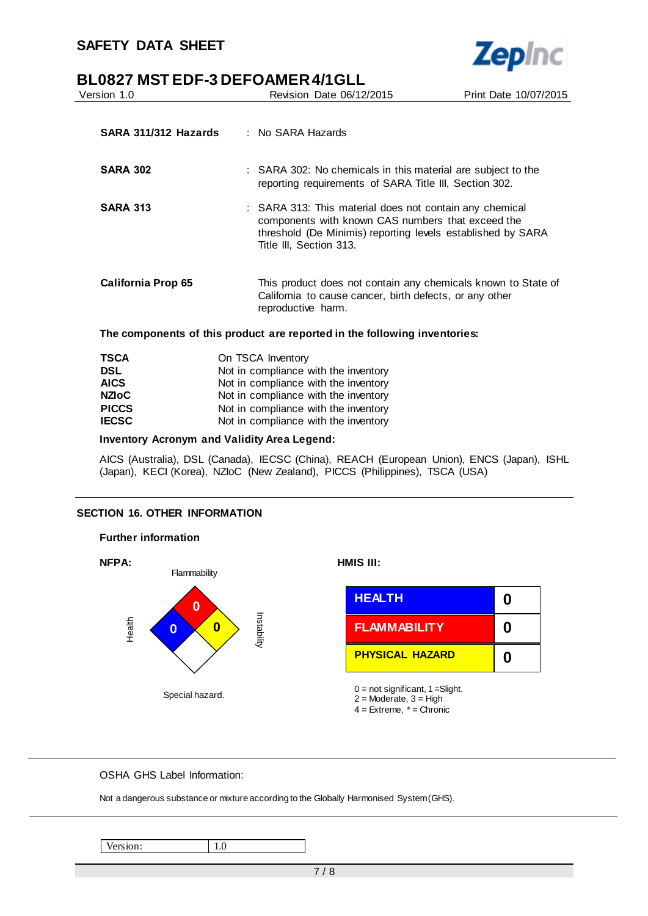

| Version 1.0               | Revision Date 06/12/2015                                                                                                                                                                               | Print Date 10/07/2015 |  |
|---------------------------|--------------------------------------------------------------------------------------------------------------------------------------------------------------------------------------------------------|-----------------------|--|
| SARA 311/312 Hazards      | : No SARA Hazards                                                                                                                                                                                      |                       |  |
| <b>SARA 302</b>           | : SARA 302: No chemicals in this material are subject to the<br>reporting requirements of SARA Title III, Section 302.                                                                                 |                       |  |
| <b>SARA 313</b>           | : SARA 313: This material does not contain any chemical<br>components with known CAS numbers that exceed the<br>threshold (De Minimis) reporting levels established by SARA<br>Title III, Section 313. |                       |  |
| <b>California Prop 65</b> | This product does not contain any chemicals known to State of<br>California to cause cancer, birth defects, or any other<br>reproductive harm.                                                         |                       |  |
|                           | The components of this product are reported in the following inventories:                                                                                                                              |                       |  |
| <b>TSCA</b>               | On TSCA Inventory                                                                                                                                                                                      |                       |  |
| <b>DSL</b>                | Not in compliance with the inventory                                                                                                                                                                   |                       |  |
| <b>AICS</b>               | Not in compliance with the inventory                                                                                                                                                                   |                       |  |
| <b>NZIOC</b>              | Not in compliance with the inventory                                                                                                                                                                   |                       |  |

**Zepinc** 

**PICCS** Not in compliance with the inventory<br>**IECSC** Not in compliance with the inventory

Not in compliance with the inventory

**Inventory Acronym and Validity Area Legend:**

AICS (Australia), DSL (Canada), IECSC (China), REACH (European Union), ENCS (Japan), ISHL (Japan), KECI (Korea), NZIoC (New Zealand), PICCS (Philippines), TSCA (USA)

# **SECTION 16. OTHER INFORMATION**



OSHA GHS Label Information:

Not a dangerous substance or mixture according to the Globally Harmonised System (GHS).

Version: 1.0